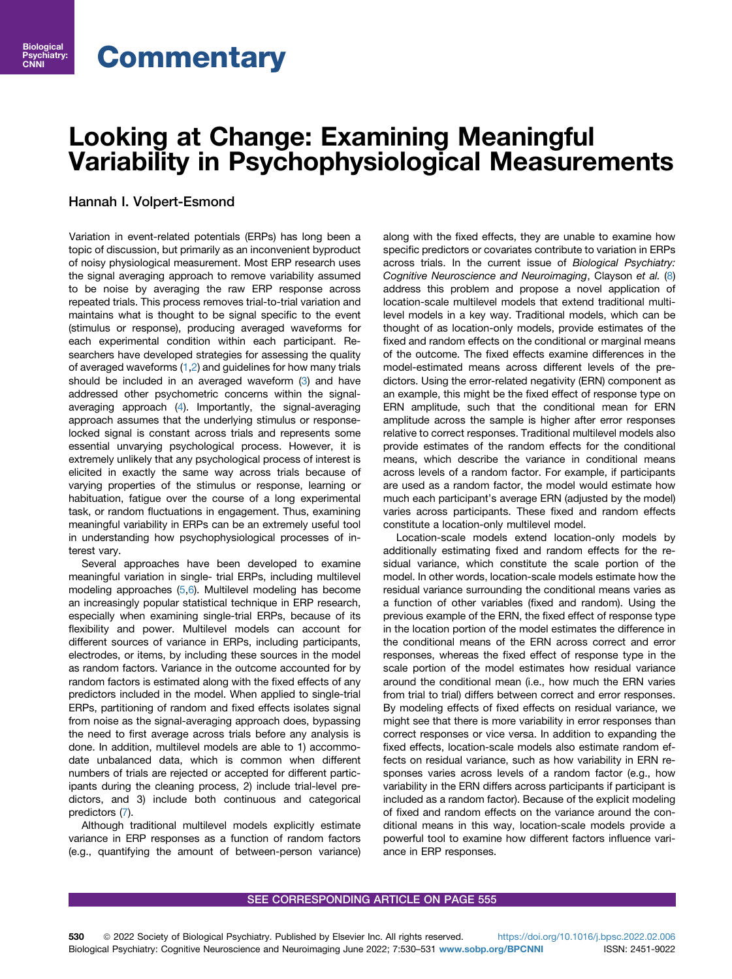# Looking at Change: Examining Meaningful  $\mathcal{Y}$  is presented in Psychophysical Measurements in  $\mathcal{Y}$

# Hannah I. Volpert-Esmond

Psychiatry CNNI C<sub>NN</sub>

> Variation in event-related potentials (ERPs) has long been a topic of discussion, but primarily as an inconvenient byproduct of noisy physiological measurement. Most ERP research uses the signal averaging approach to remove variability assumed to be noise by averaging the raw ERP response across repeated trials. This process removes trial-to-trial variation and maintains what is thought to be signal specific to the event (stimulus or response), producing averaged waveforms for each experimental condition within each participant. Researchers have developed strategies for assessing the quality of averaged waveforms [\(1,](#page-1-0)[2\)](#page-1-1) and guidelines for how many trials should be included in an averaged waveform ([3\)](#page-1-2) and have addressed other psychometric concerns within the signalaveraging approach ([4\)](#page-1-3). Importantly, the signal-averaging approach assumes that the underlying stimulus or responselocked signal is constant across trials and represents some essential unvarying psychological process. However, it is extremely unlikely that any psychological process of interest is elicited in exactly the same way across trials because of varying properties of the stimulus or response, learning or habituation, fatigue over the course of a long experimental task, or random fluctuations in engagement. Thus, examining meaningful variability in ERPs can be an extremely useful tool in understanding how psychophysiological processes of interest vary.

> Several approaches have been developed to examine meaningful variation in single- trial ERPs, including multilevel modeling approaches [\(5](#page-1-4)[,6](#page-1-5)). Multilevel modeling has become an increasingly popular statistical technique in ERP research, especially when examining single-trial ERPs, because of its flexibility and power. Multilevel models can account for different sources of variance in ERPs, including participants, electrodes, or items, by including these sources in the model as random factors. Variance in the outcome accounted for by random factors is estimated along with the fixed effects of any predictors included in the model. When applied to single-trial ERPs, partitioning of random and fixed effects isolates signal from noise as the signal-averaging approach does, bypassing the need to first average across trials before any analysis is done. In addition, multilevel models are able to 1) accommodate unbalanced data, which is common when different numbers of trials are rejected or accepted for different participants during the cleaning process, 2) include trial-level predictors, and 3) include both continuous and categorical predictors ([7](#page-1-6)).

> Although traditional multilevel models explicitly estimate variance in ERP responses as a function of random factors (e.g., quantifying the amount of between-person variance)

along with the fixed effects, they are unable to examine how specific predictors or covariates contribute to variation in ERPs across trials. In the current issue of Biological Psychiatry: Cognitive Neuroscience and Neuroimaging, Clayson et al. [\(8\)](#page-1-7) address this problem and propose a novel application of location-scale multilevel models that extend traditional multilevel models in a key way. Traditional models, which can be thought of as location-only models, provide estimates of the fixed and random effects on the conditional or marginal means of the outcome. The fixed effects examine differences in the model-estimated means across different levels of the predictors. Using the error-related negativity (ERN) component as an example, this might be the fixed effect of response type on ERN amplitude, such that the conditional mean for ERN amplitude across the sample is higher after error responses relative to correct responses. Traditional multilevel models also provide estimates of the random effects for the conditional means, which describe the variance in conditional means across levels of a random factor. For example, if participants are used as a random factor, the model would estimate how much each participant's average ERN (adjusted by the model) varies across participants. These fixed and random effects constitute a location-only multilevel model.

Location-scale models extend location-only models by additionally estimating fixed and random effects for the residual variance, which constitute the scale portion of the model. In other words, location-scale models estimate how the residual variance surrounding the conditional means varies as a function of other variables (fixed and random). Using the previous example of the ERN, the fixed effect of response type in the location portion of the model estimates the difference in the conditional means of the ERN across correct and error responses, whereas the fixed effect of response type in the scale portion of the model estimates how residual variance around the conditional mean (i.e., how much the ERN varies from trial to trial) differs between correct and error responses. By modeling effects of fixed effects on residual variance, we might see that there is more variability in error responses than correct responses or vice versa. In addition to expanding the fixed effects, location-scale models also estimate random effects on residual variance, such as how variability in ERN responses varies across levels of a random factor (e.g., how variability in the ERN differs across participants if participant is included as a random factor). Because of the explicit modeling of fixed and random effects on the variance around the conditional means in this way, location-scale models provide a powerful tool to examine how different factors influence variance in ERP responses.

## SEE CORRESPONDING ARTICLE ON PAGE 555